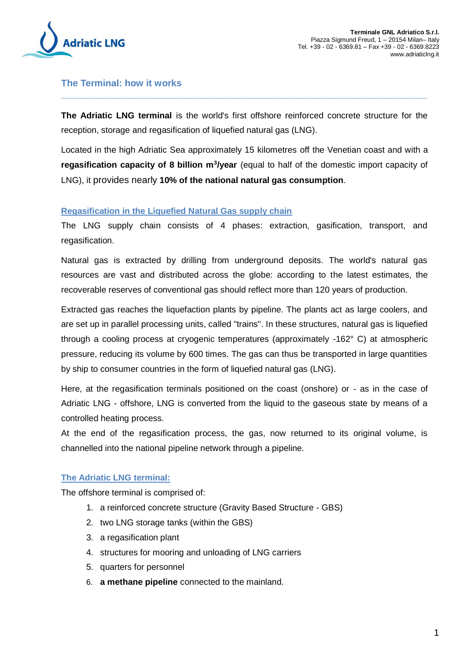

## **The Terminal: how it works**

**The Adriatic LNG terminal** is the world's first offshore reinforced concrete structure for the reception, storage and regasification of liquefied natural gas (LNG).

**\_\_\_\_\_\_\_\_\_\_\_\_\_\_\_\_\_\_\_\_\_\_\_\_\_\_\_\_\_\_\_\_\_\_\_\_\_\_\_\_\_\_\_\_\_\_\_\_\_\_\_\_\_\_\_\_\_\_\_\_\_\_\_\_\_\_\_\_\_\_**

Located in the high Adriatic Sea approximately 15 kilometres off the Venetian coast and with a **regasification capacity of 8 billion m<sup>3</sup>/year** (equal to half of the domestic import capacity of LNG), it provides nearly **10% of the national natural gas consumption**.

## **Regasification in the Liquefied Natural Gas supply chain**

The LNG supply chain consists of 4 phases: extraction, gasification, transport, and regasification.

Natural gas is extracted by drilling from underground deposits. The world's natural gas resources are vast and distributed across the globe: according to the latest estimates, the recoverable reserves of conventional gas should reflect more than 120 years of production.

Extracted gas reaches the liquefaction plants by pipeline. The plants act as large coolers, and are set up in parallel processing units, called "trains". In these structures, natural gas is liquefied through a cooling process at cryogenic temperatures (approximately -162° C) at atmospheric pressure, reducing its volume by 600 times. The gas can thus be transported in large quantities by ship to consumer countries in the form of liquefied natural gas (LNG).

Here, at the regasification terminals positioned on the coast (onshore) or - as in the case of Adriatic LNG - offshore, LNG is converted from the liquid to the gaseous state by means of a controlled heating process.

At the end of the regasification process, the gas, now returned to its original volume, is channelled into the national pipeline network through a pipeline.

## **The Adriatic LNG terminal:**

The offshore terminal is comprised of:

- 1. a reinforced concrete structure (Gravity Based Structure GBS)
- 2. two LNG storage tanks (within the GBS)
- 3. a regasification plant
- 4. structures for mooring and unloading of LNG carriers
- 5. quarters for personnel
- 6. **a methane pipeline** connected to the mainland.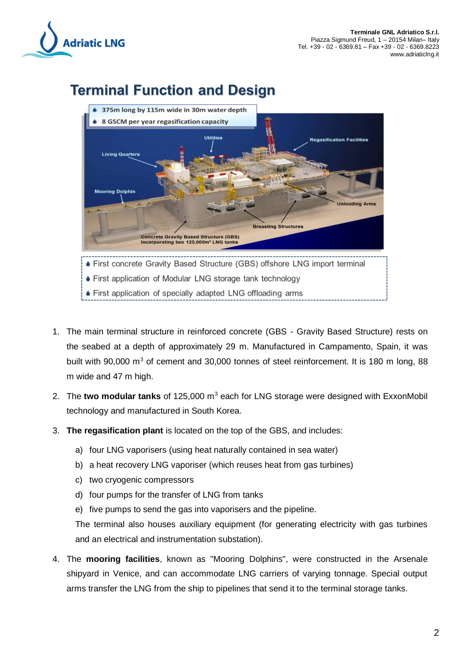

# **Terminal Function and Design**



- 1. The main terminal structure in reinforced concrete (GBS Gravity Based Structure) rests on the seabed at a depth of approximately 29 m. Manufactured in Campamento, Spain, it was built with 90,000  $m<sup>3</sup>$  of cement and 30,000 tonnes of steel reinforcement. It is 180 m long, 88 m wide and 47 m high.
- 2. The **two modular tanks** of 125,000 m<sup>3</sup> each for LNG storage were designed with ExxonMobil technology and manufactured in South Korea.
- 3. **The regasification plant** is located on the top of the GBS, and includes:
	- a) four LNG vaporisers (using heat naturally contained in sea water)
	- b) a heat recovery LNG vaporiser (which reuses heat from gas turbines)
	- c) two cryogenic compressors
	- d) four pumps for the transfer of LNG from tanks
	- e) five pumps to send the gas into vaporisers and the pipeline.

The terminal also houses auxiliary equipment (for generating electricity with gas turbines and an electrical and instrumentation substation).

4. The **mooring facilities**, known as "Mooring Dolphins", were constructed in the Arsenale shipyard in Venice, and can accommodate LNG carriers of varying tonnage. Special output arms transfer the LNG from the ship to pipelines that send it to the terminal storage tanks.